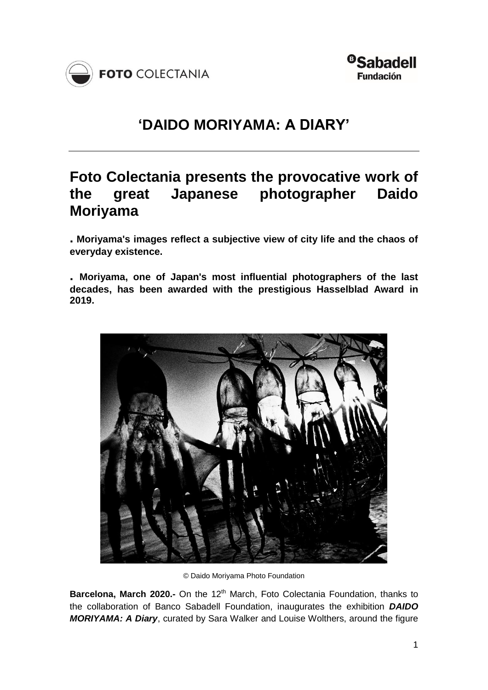



# **'DAIDO MORIYAMA: A DIARY'**

# **Foto Colectania presents the provocative work of the great Japanese photographer Daido Moriyama**

**. Moriyama's images reflect a subjective view of city life and the chaos of everyday existence.**

**. Moriyama, one of Japan's most influential photographers of the last decades, has been awarded with the prestigious Hasselblad Award in 2019.**



© Daido Moriyama Photo Foundation

**Barcelona, March 2020.-** On the 12<sup>th</sup> March, Foto Colectania Foundation, thanks to the collaboration of Banco Sabadell Foundation, inaugurates the exhibition *DAIDO MORIYAMA: A Diary*, curated by Sara Walker and Louise Wolthers, around the figure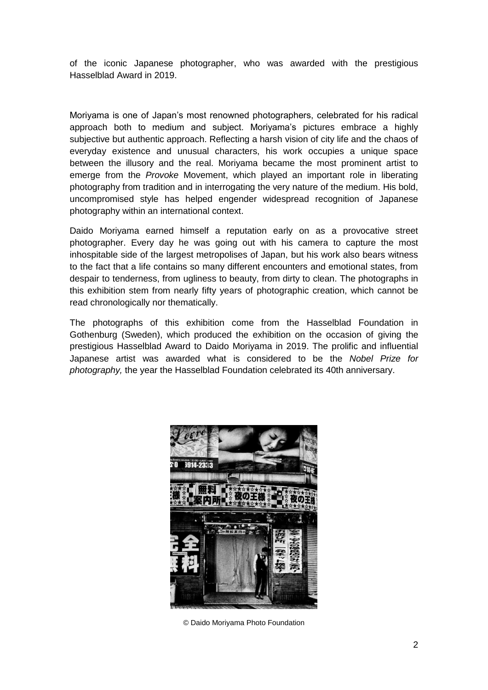of the iconic Japanese photographer, who was awarded with the prestigious Hasselblad Award in 2019.

Moriyama is one of Japan's most renowned photographers, celebrated for his radical approach both to medium and subject. Moriyama's pictures embrace a highly subjective but authentic approach. Reflecting a harsh vision of city life and the chaos of everyday existence and unusual characters, his work occupies a unique space between the illusory and the real. Moriyama became the most prominent artist to emerge from the *Provoke* Movement, which played an important role in liberating photography from tradition and in interrogating the very nature of the medium. His bold, uncompromised style has helped engender widespread recognition of Japanese photography within an international context.

Daido Moriyama earned himself a reputation early on as a provocative street photographer. Every day he was going out with his camera to capture the most inhospitable side of the largest metropolises of Japan, but his work also bears witness to the fact that a life contains so many different encounters and emotional states, from despair to tenderness, from ugliness to beauty, from dirty to clean. The photographs in this exhibition stem from nearly fifty years of photographic creation, which cannot be read chronologically nor thematically.

The photographs of this exhibition come from the Hasselblad Foundation in Gothenburg (Sweden), which produced the exhibition on the occasion of giving the prestigious Hasselblad Award to Daido Moriyama in 2019. The prolific and influential Japanese artist was awarded what is considered to be the *Nobel Prize for photography,* the year the Hasselblad Foundation celebrated its 40th anniversary.



© Daido Moriyama Photo Foundation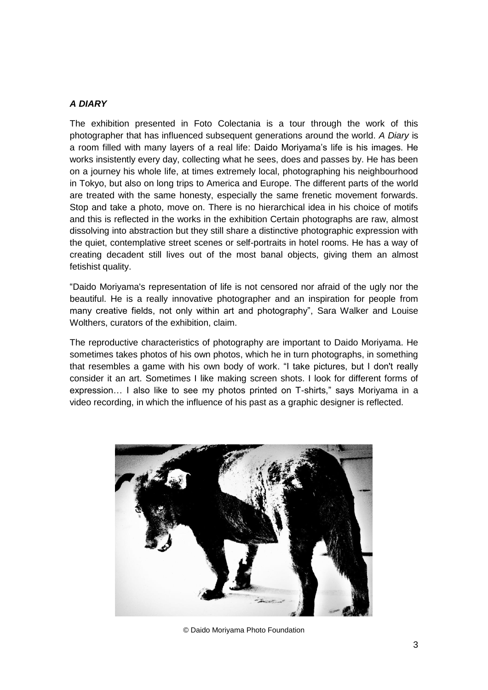### *A DIARY*

The exhibition presented in Foto Colectania is a tour through the work of this photographer that has influenced subsequent generations around the world. *A Diary* is a room filled with many layers of a real life: Daido Moriyama's life is his images. He works insistently every day, collecting what he sees, does and passes by. He has been on a journey his whole life, at times extremely local, photographing his neighbourhood in Tokyo, but also on long trips to America and Europe. The different parts of the world are treated with the same honesty, especially the same frenetic movement forwards. Stop and take a photo, move on. There is no hierarchical idea in his choice of motifs and this is reflected in the works in the exhibition Certain photographs are raw, almost dissolving into abstraction but they still share a distinctive photographic expression with the quiet, contemplative street scenes or self-portraits in hotel rooms. He has a way of creating decadent still lives out of the most banal objects, giving them an almost fetishist quality.

"Daido Moriyama's representation of life is not censored nor afraid of the ugly nor the beautiful. He is a really innovative photographer and an inspiration for people from many creative fields, not only within art and photography", Sara Walker and Louise Wolthers, curators of the exhibition, claim.

The reproductive characteristics of photography are important to Daido Moriyama. He sometimes takes photos of his own photos, which he in turn photographs, in something that resembles a game with his own body of work. "I take pictures, but I don't really consider it an art. Sometimes I like making screen shots. I look for different forms of expression… I also like to see my photos printed on T-shirts," says Moriyama in a video recording, in which the influence of his past as a graphic designer is reflected.



© Daido Moriyama Photo Foundation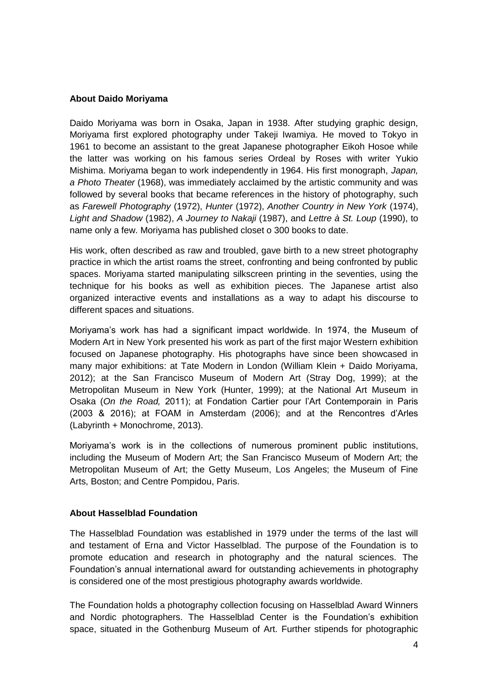### **About Daido Moriyama**

Daido Moriyama was born in Osaka, Japan in 1938. After studying graphic design, Moriyama first explored photography under Takeji Iwamiya. He moved to Tokyo in 1961 to become an assistant to the great Japanese photographer Eikoh Hosoe while the latter was working on his famous series Ordeal by Roses with writer Yukio Mishima. Moriyama began to work independently in 1964. His first monograph, *Japan, a Photo Theater* (1968), was immediately acclaimed by the artistic community and was followed by several books that became references in the history of photography, such as *Farewell Photography* (1972), *Hunter* (1972), *Another Country in New York* (1974), *Light and Shadow* (1982), *A Journey to Nakaji* (1987), and *Lettre à St. Loup* (1990), to name only a few. Moriyama has published closet o 300 books to date.

His work, often described as raw and troubled, gave birth to a new street photography practice in which the artist roams the street, confronting and being confronted by public spaces. Moriyama started manipulating silkscreen printing in the seventies, using the technique for his books as well as exhibition pieces. The Japanese artist also organized interactive events and installations as a way to adapt his discourse to different spaces and situations.

Moriyama's work has had a significant impact worldwide. In 1974, the Museum of Modern Art in New York presented his work as part of the first major Western exhibition focused on Japanese photography. His photographs have since been showcased in many major exhibitions: at Tate Modern in London (William Klein + Daido Moriyama, 2012); at the San Francisco Museum of Modern Art (Stray Dog, 1999); at the Metropolitan Museum in New York (Hunter, 1999); at the National Art Museum in Osaka (*On the Road,* 2011); at Fondation Cartier pour l'Art Contemporain in Paris (2003 & 2016); at FOAM in Amsterdam (2006); and at the Rencontres d'Arles (Labyrinth + Monochrome, 2013).

Moriyama's work is in the collections of numerous prominent public institutions, including the Museum of Modern Art; the San Francisco Museum of Modern Art; the Metropolitan Museum of Art; the Getty Museum, Los Angeles; the Museum of Fine Arts, Boston; and Centre Pompidou, Paris.

### **About Hasselblad Foundation**

The Hasselblad Foundation was established in 1979 under the terms of the last will and testament of Erna and Victor Hasselblad. The purpose of the Foundation is to promote education and research in photography and the natural sciences. The Foundation's annual international award for outstanding achievements in photography is considered one of the most prestigious photography awards worldwide.

The Foundation holds a photography collection focusing on Hasselblad Award Winners and Nordic photographers. The Hasselblad Center is the Foundation's exhibition space, situated in the Gothenburg Museum of Art. Further stipends for photographic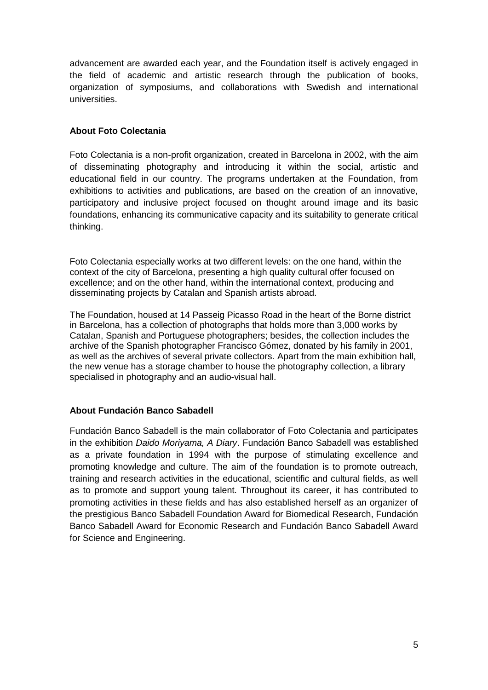advancement are awarded each year, and the Foundation itself is actively engaged in the field of academic and artistic research through the publication of books, organization of symposiums, and collaborations with Swedish and international universities.

## **About Foto Colectania**

Foto Colectania is a non-profit organization, created in Barcelona in 2002, with the aim of disseminating photography and introducing it within the social, artistic and educational field in our country. The programs undertaken at the Foundation, from exhibitions to activities and publications, are based on the creation of an innovative, participatory and inclusive project focused on thought around image and its basic foundations, enhancing its communicative capacity and its suitability to generate critical thinking.

Foto Colectania especially works at two different levels: on the one hand, within the context of the city of Barcelona, presenting a high quality cultural offer focused on excellence; and on the other hand, within the international context, producing and disseminating projects by Catalan and Spanish artists abroad.

The Foundation, housed at 14 Passeig Picasso Road in the heart of the Borne district in Barcelona, has a collection of photographs that holds more than 3,000 works by Catalan, Spanish and Portuguese photographers; besides, the collection includes the archive of the Spanish photographer Francisco Gómez, donated by his family in 2001, as well as the archives of several private collectors. Apart from the main exhibition hall, the new venue has a storage chamber to house the photography collection, a library specialised in photography and an audio-visual hall.

## **About Fundación Banco Sabadell**

Fundación Banco Sabadell is the main collaborator of Foto Colectania and participates in the exhibition *Daido Moriyama, A Diary*. Fundación Banco Sabadell was established as a private foundation in 1994 with the purpose of stimulating excellence and promoting knowledge and culture. The aim of the foundation is to promote outreach, training and research activities in the educational, scientific and cultural fields, as well as to promote and support young talent. Throughout its career, it has contributed to promoting activities in these fields and has also established herself as an organizer of the prestigious Banco Sabadell Foundation Award for Biomedical Research, Fundación Banco Sabadell Award for Economic Research and Fundación Banco Sabadell Award for Science and Engineering.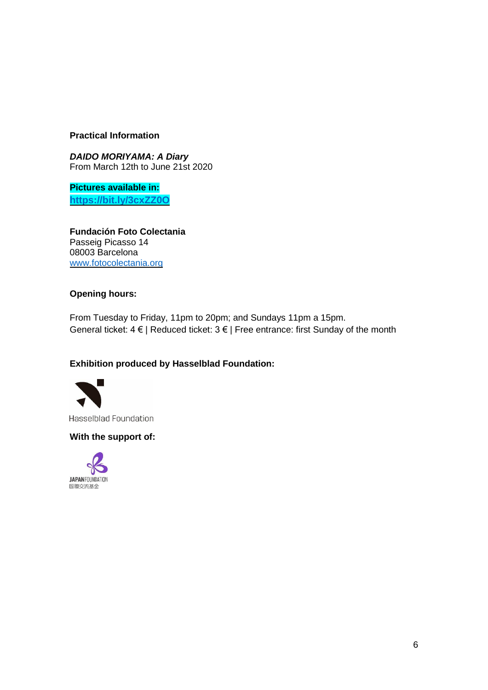## **Practical Information**

*DAIDO MORIYAMA: A Diary* From March 12th to June 21st 2020

**Pictures available in: <https://bit.ly/3cxZZ0O>**

**Fundación Foto Colectania** Passeig Picasso 14 08003 Barcelona [www.fotocolectania.org](http://fotocolectania.org/)

## **Opening hours:**

From Tuesday to Friday, 11pm to 20pm; and Sundays 11pm a 15pm. General ticket:  $4 \in |$  Reduced ticket:  $3 \in |$  Free entrance: first Sunday of the month

## **Exhibition produced by Hasselblad Foundation:**



Hasselblad Foundation

### **With the support of:**